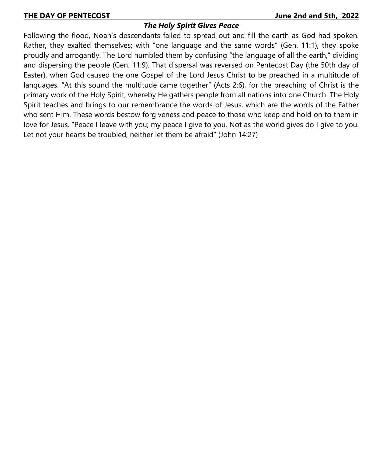# *The Holy Spirit Gives Peace*

Following the flood, Noah's descendants failed to spread out and fill the earth as God had spoken. Rather, they exalted themselves; with "one language and the same words" (Gen. 11:1), they spoke proudly and arrogantly. The Lord humbled them by confusing "the language of all the earth," dividing and dispersing the people (Gen. 11:9). That dispersal was reversed on Pentecost Day (the 50th day of Easter), when God caused the one Gospel of the Lord Jesus Christ to be preached in a multitude of languages. "At this sound the multitude came together" (Acts 2:6), for the preaching of Christ is the primary work of the Holy Spirit, whereby He gathers people from all nations into one Church. The Holy Spirit teaches and brings to our remembrance the words of Jesus, which are the words of the Father who sent Him. These words bestow forgiveness and peace to those who keep and hold on to them in love for Jesus. "Peace I leave with you; my peace I give to you. Not as the world gives do I give to you. Let not your hearts be troubled, neither let them be afraid" (John 14:27)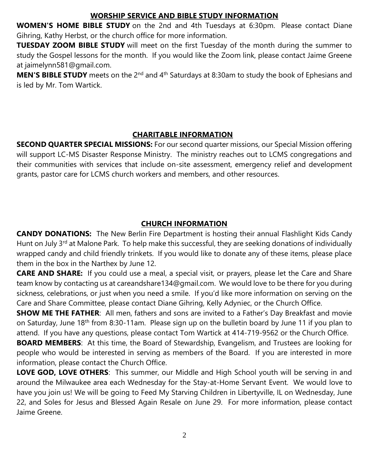## **WORSHIP SERVICE AND BIBLE STUDY INFORMATION**

**WOMEN'S HOME BIBLE STUDY** on the 2nd and 4th Tuesdays at 6:30pm. Please contact Diane Gihring, Kathy Herbst, or the church office for more information.

**TUESDAY ZOOM BIBLE STUDY** will meet on the first Tuesday of the month during the summer to study the Gospel lessons for the month. If you would like the Zoom link, please contact Jaime Greene at jaimelynn581@gmail.com.

**MEN'S BIBLE STUDY** meets on the 2<sup>nd</sup> and 4<sup>th</sup> Saturdays at 8:30am to study the book of Ephesians and is led by Mr. Tom Wartick.

## **CHARITABLE INFORMATION**

**SECOND QUARTER SPECIAL MISSIONS:** For our second quarter missions, our Special Mission offering will support LC-MS Disaster Response Ministry. The ministry reaches out to LCMS congregations and their communities with services that include on-site assessment, emergency relief and development grants, pastor care for LCMS church workers and members, and other resources.

# **CHURCH INFORMATION**

**CANDY DONATIONS:** The New Berlin Fire Department is hosting their annual Flashlight Kids Candy Hunt on July 3<sup>rd</sup> at Malone Park. To help make this successful, they are seeking donations of individually wrapped candy and child friendly trinkets. If you would like to donate any of these items, please place them in the box in the Narthex by June 12.

**CARE AND SHARE:** If you could use a meal, a special visit, or prayers, please let the Care and Share team know by contacting us at careandshare134@gmail.com. We would love to be there for you during sickness, celebrations, or just when you need a smile. If you'd like more information on serving on the Care and Share Committee, please contact Diane Gihring, Kelly Adyniec, or the Church Office.

**SHOW ME THE FATHER**: All men, fathers and sons are invited to a Father's Day Breakfast and movie on Saturday, June 18<sup>th</sup> from 8:30-11am. Please sign up on the bulletin board by June 11 if you plan to attend. If you have any questions, please contact Tom Wartick at 414-719-9562 or the Church Office.

**BOARD MEMBERS**: At this time, the Board of Stewardship, Evangelism, and Trustees are looking for people who would be interested in serving as members of the Board. If you are interested in more information, please contact the Church Office.

**LOVE GOD, LOVE OTHERS**: This summer, our Middle and High School youth will be serving in and around the Milwaukee area each Wednesday for the Stay-at-Home Servant Event. We would love to have you join us! We will be going to Feed My Starving Children in Libertyville, IL on Wednesday, June 22, and Soles for Jesus and Blessed Again Resale on June 29. For more information, please contact Jaime Greene.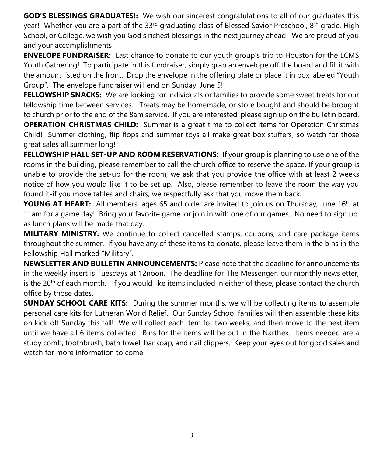**GOD'S BLESSINGS GRADUATES!:** We wish our sincerest congratulations to all of our graduates this year! Whether you are a part of the 33<sup>rd</sup> graduating class of Blessed Savior Preschool, 8<sup>th</sup> grade, High School, or College, we wish you God's richest blessings in the next journey ahead! We are proud of you and your accomplishments!

**ENVELOPE FUNDRAISER:** Last chance to donate to our youth group's trip to Houston for the LCMS Youth Gathering! To participate in this fundraiser, simply grab an envelope off the board and fill it with the amount listed on the front. Drop the envelope in the offering plate or place it in box labeled "Youth Group". The envelope fundraiser will end on Sunday, June 5!

**FELLOWSHIP SNACKS:** We are looking for individuals or families to provide some sweet treats for our fellowship time between services. Treats may be homemade, or store bought and should be brought to church prior to the end of the 8am service. If you are interested, please sign up on the bulletin board.

**OPERATION CHRISTMAS CHILD:** Summer is a great time to collect items for Operation Christmas Child! Summer clothing, flip flops and summer toys all make great box stuffers, so watch for those great sales all summer long!

**FELLOWSHIP HALL SET-UP AND ROOM RESERVATIONS:** If your group is planning to use one of the rooms in the building, please remember to call the church office to reserve the space. If your group is unable to provide the set-up for the room, we ask that you provide the office with at least 2 weeks notice of how you would like it to be set up. Also, please remember to leave the room the way you found it-if you move tables and chairs, we respectfully ask that you move them back.

**YOUNG AT HEART:** All members, ages 65 and older are invited to join us on Thursday, June 16<sup>th</sup> at 11am for a game day! Bring your favorite game, or join in with one of our games. No need to sign up, as lunch plans will be made that day.

**MILITARY MINISTRY:** We continue to collect cancelled stamps, coupons, and care package items throughout the summer. If you have any of these items to donate, please leave them in the bins in the Fellowship Hall marked "Military".

**NEWSLETTER AND BULLETIN ANNOUNCEMENTS:** Please note that the deadline for announcements in the weekly insert is Tuesdays at 12noon. The deadline for The Messenger, our monthly newsletter, is the  $20<sup>th</sup>$  of each month. If you would like items included in either of these, please contact the church office by those dates.

**SUNDAY SCHOOL CARE KITS:** During the summer months, we will be collecting items to assemble personal care kits for Lutheran World Relief. Our Sunday School families will then assemble these kits on kick-off Sunday this fall! We will collect each item for two weeks, and then move to the next item until we have all 6 items collected. Bins for the items will be out in the Narthex. Items needed are a study comb, toothbrush, bath towel, bar soap, and nail clippers. Keep your eyes out for good sales and watch for more information to come!